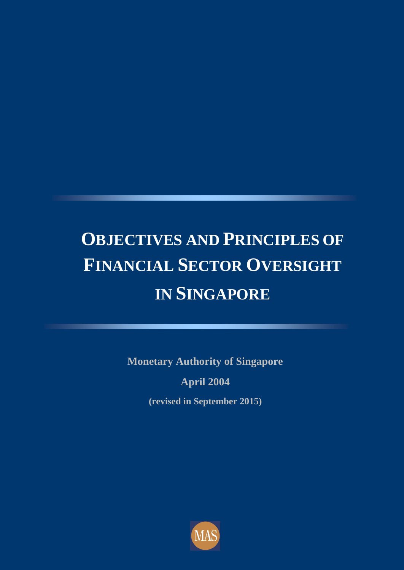# **OBJECTIVES AND PRINCIPLES OF FINANCIAL SECTOR OVERSIGHT IN SINGAPORE**

**Monetary Authority of Singapore April 2004**

**(revised in September 2015)**

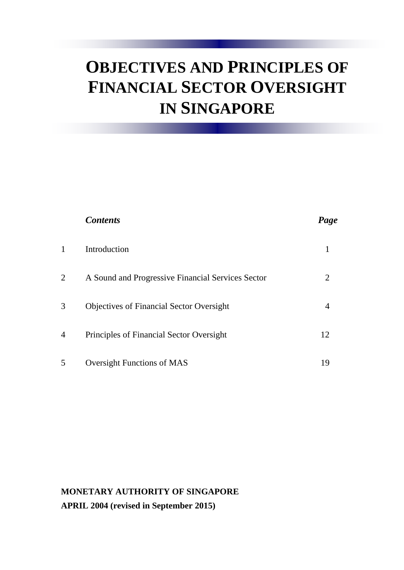## **OBJECTIVES AND PRINCIPLES OF FINANCIAL SECTOR OVERSIGHT IN SINGAPORE**

|   | <b>Contents</b>                                   | Page |
|---|---------------------------------------------------|------|
| 1 | Introduction                                      |      |
| 2 | A Sound and Progressive Financial Services Sector | 2    |
| 3 | <b>Objectives of Financial Sector Oversight</b>   | 4    |
| 4 | Principles of Financial Sector Oversight          | 12   |
| 5 | <b>Oversight Functions of MAS</b>                 | 19   |

#### **MONETARY AUTHORITY OF SINGAPORE APRIL 2004 (revised in September 2015)**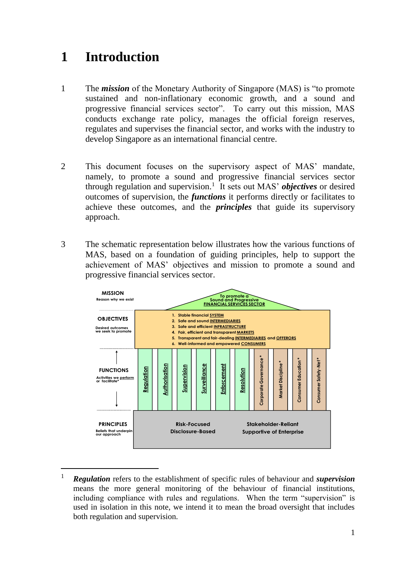## **1 Introduction**

-

- 1 The *mission* of the Monetary Authority of Singapore (MAS) is "to promote sustained and non-inflationary economic growth, and a sound and progressive financial services sector". To carry out this mission, MAS conducts exchange rate policy, manages the official foreign reserves, regulates and supervises the financial sector, and works with the industry to develop Singapore as an international financial centre.
- 2 This document focuses on the supervisory aspect of MAS' mandate, namely, to promote a sound and progressive financial services sector through regulation and supervision.<sup>1</sup> It sets out MAS' *objectives* or desired outcomes of supervision, the *functions* it performs directly or facilitates to achieve these outcomes, and the *principles* that guide its supervisory approach.
- 3 The schematic representation below illustrates how the various functions of MAS, based on a foundation of guiding principles, help to support the achievement of MAS' objectives and mission to promote a sound and progressive financial services sector.



<sup>1</sup> *Regulation* refers to the establishment of specific rules of behaviour and *supervision* means the more general monitoring of the behaviour of financial institutions, including compliance with rules and regulations. When the term "supervision" is used in isolation in this note, we intend it to mean the broad oversight that includes both regulation and supervision.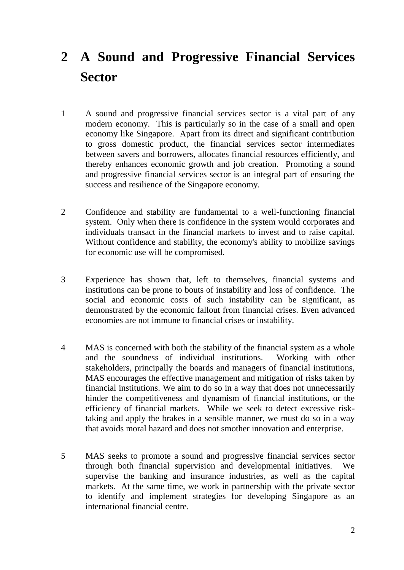## **2 A Sound and Progressive Financial Services Sector**

- 1 A sound and progressive financial services sector is a vital part of any modern economy. This is particularly so in the case of a small and open economy like Singapore. Apart from its direct and significant contribution to gross domestic product, the financial services sector intermediates between savers and borrowers, allocates financial resources efficiently, and thereby enhances economic growth and job creation. Promoting a sound and progressive financial services sector is an integral part of ensuring the success and resilience of the Singapore economy.
- 2 Confidence and stability are fundamental to a well-functioning financial system. Only when there is confidence in the system would corporates and individuals transact in the financial markets to invest and to raise capital. Without confidence and stability, the economy's ability to mobilize savings for economic use will be compromised.
- 3 Experience has shown that, left to themselves, financial systems and institutions can be prone to bouts of instability and loss of confidence. The social and economic costs of such instability can be significant, as demonstrated by the economic fallout from financial crises. Even advanced economies are not immune to financial crises or instability.
- 4 MAS is concerned with both the stability of the financial system as a whole and the soundness of individual institutions. Working with other stakeholders, principally the boards and managers of financial institutions, MAS encourages the effective management and mitigation of risks taken by financial institutions. We aim to do so in a way that does not unnecessarily hinder the competitiveness and dynamism of financial institutions, or the efficiency of financial markets. While we seek to detect excessive risktaking and apply the brakes in a sensible manner, we must do so in a way that avoids moral hazard and does not smother innovation and enterprise.
- 5 MAS seeks to promote a sound and progressive financial services sector through both financial supervision and developmental initiatives. We supervise the banking and insurance industries, as well as the capital markets. At the same time, we work in partnership with the private sector to identify and implement strategies for developing Singapore as an international financial centre.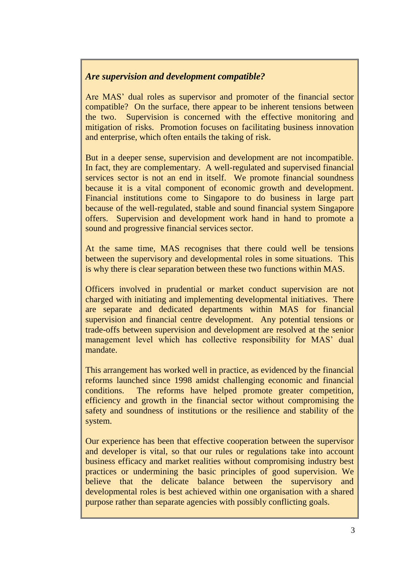#### *Are supervision and development compatible?*

Are MAS' dual roles as supervisor and promoter of the financial sector compatible? On the surface, there appear to be inherent tensions between the two. Supervision is concerned with the effective monitoring and mitigation of risks. Promotion focuses on facilitating business innovation and enterprise, which often entails the taking of risk.

But in a deeper sense, supervision and development are not incompatible. In fact, they are complementary. A well-regulated and supervised financial services sector is not an end in itself. We promote financial soundness because it is a vital component of economic growth and development. Financial institutions come to Singapore to do business in large part because of the well-regulated, stable and sound financial system Singapore offers. Supervision and development work hand in hand to promote a sound and progressive financial services sector.

At the same time, MAS recognises that there could well be tensions between the supervisory and developmental roles in some situations. This is why there is clear separation between these two functions within MAS.

Officers involved in prudential or market conduct supervision are not charged with initiating and implementing developmental initiatives. There are separate and dedicated departments within MAS for financial supervision and financial centre development. Any potential tensions or trade-offs between supervision and development are resolved at the senior management level which has collective responsibility for MAS' dual mandate.

This arrangement has worked well in practice, as evidenced by the financial reforms launched since 1998 amidst challenging economic and financial conditions. The reforms have helped promote greater competition, efficiency and growth in the financial sector without compromising the safety and soundness of institutions or the resilience and stability of the system.

Our experience has been that effective cooperation between the supervisor and developer is vital, so that our rules or regulations take into account business efficacy and market realities without compromising industry best practices or undermining the basic principles of good supervision. We believe that the delicate balance between the supervisory and developmental roles is best achieved within one organisation with a shared purpose rather than separate agencies with possibly conflicting goals.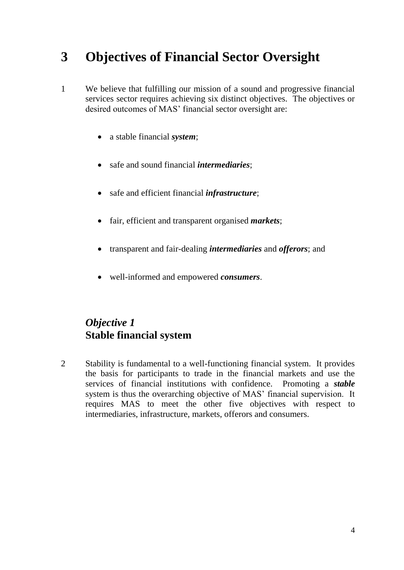## **3 Objectives of Financial Sector Oversight**

- 1 We believe that fulfilling our mission of a sound and progressive financial services sector requires achieving six distinct objectives. The objectives or desired outcomes of MAS' financial sector oversight are:
	- a stable financial *system*;
	- safe and sound financial *intermediaries*;
	- safe and efficient financial *infrastructure*;
	- fair, efficient and transparent organised *markets*;
	- transparent and fair-dealing *intermediaries* and *offerors*; and
	- well-informed and empowered *consumers*.

### *Objective 1* **Stable financial system**

2 Stability is fundamental to a well-functioning financial system. It provides the basis for participants to trade in the financial markets and use the services of financial institutions with confidence. Promoting a *stable* system is thus the overarching objective of MAS' financial supervision. It requires MAS to meet the other five objectives with respect to intermediaries, infrastructure, markets, offerors and consumers.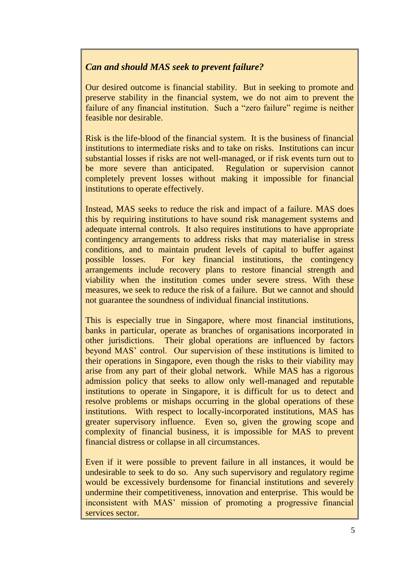#### *Can and should MAS seek to prevent failure?*

Our desired outcome is financial stability. But in seeking to promote and preserve stability in the financial system, we do not aim to prevent the failure of any financial institution. Such a "zero failure" regime is neither feasible nor desirable.

Risk is the life-blood of the financial system. It is the business of financial institutions to intermediate risks and to take on risks. Institutions can incur substantial losses if risks are not well-managed, or if risk events turn out to be more severe than anticipated. Regulation or supervision cannot completely prevent losses without making it impossible for financial institutions to operate effectively.

Instead, MAS seeks to reduce the risk and impact of a failure. MAS does this by requiring institutions to have sound risk management systems and adequate internal controls. It also requires institutions to have appropriate contingency arrangements to address risks that may materialise in stress conditions, and to maintain prudent levels of capital to buffer against possible losses. For key financial institutions, the contingency arrangements include recovery plans to restore financial strength and viability when the institution comes under severe stress. With these measures, we seek to reduce the risk of a failure. But we cannot and should not guarantee the soundness of individual financial institutions.

This is especially true in Singapore, where most financial institutions, banks in particular, operate as branches of organisations incorporated in other jurisdictions. Their global operations are influenced by factors beyond MAS' control. Our supervision of these institutions is limited to their operations in Singapore, even though the risks to their viability may arise from any part of their global network. While MAS has a rigorous admission policy that seeks to allow only well-managed and reputable institutions to operate in Singapore, it is difficult for us to detect and resolve problems or mishaps occurring in the global operations of these institutions. With respect to locally-incorporated institutions, MAS has greater supervisory influence. Even so, given the growing scope and complexity of financial business, it is impossible for MAS to prevent financial distress or collapse in all circumstances.

Even if it were possible to prevent failure in all instances, it would be undesirable to seek to do so. Any such supervisory and regulatory regime would be excessively burdensome for financial institutions and severely undermine their competitiveness, innovation and enterprise. This would be inconsistent with MAS' mission of promoting a progressive financial services sector.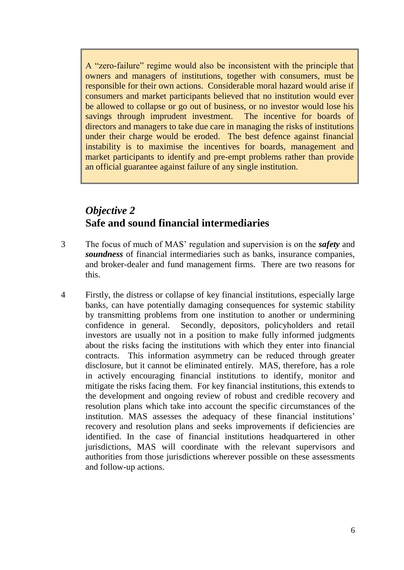A "zero-failure" regime would also be inconsistent with the principle that owners and managers of institutions, together with consumers, must be responsible for their own actions. Considerable moral hazard would arise if consumers and market participants believed that no institution would ever be allowed to collapse or go out of business, or no investor would lose his savings through imprudent investment. The incentive for boards of directors and managers to take due care in managing the risks of institutions under their charge would be eroded. The best defence against financial instability is to maximise the incentives for boards, management and market participants to identify and pre-empt problems rather than provide an official guarantee against failure of any single institution.

#### *Objective 2* **Safe and sound financial intermediaries**

- 3 The focus of much of MAS' regulation and supervision is on the *safety* and *soundness* of financial intermediaries such as banks, insurance companies, and broker-dealer and fund management firms. There are two reasons for this.
- 4 Firstly, the distress or collapse of key financial institutions, especially large banks, can have potentially damaging consequences for systemic stability by transmitting problems from one institution to another or undermining confidence in general. Secondly, depositors, policyholders and retail investors are usually not in a position to make fully informed judgments about the risks facing the institutions with which they enter into financial contracts. This information asymmetry can be reduced through greater disclosure, but it cannot be eliminated entirely. MAS, therefore, has a role in actively encouraging financial institutions to identify, monitor and mitigate the risks facing them. For key financial institutions, this extends to the development and ongoing review of robust and credible recovery and resolution plans which take into account the specific circumstances of the institution. MAS assesses the adequacy of these financial institutions' recovery and resolution plans and seeks improvements if deficiencies are identified. In the case of financial institutions headquartered in other jurisdictions, MAS will coordinate with the relevant supervisors and authorities from those jurisdictions wherever possible on these assessments and follow-up actions.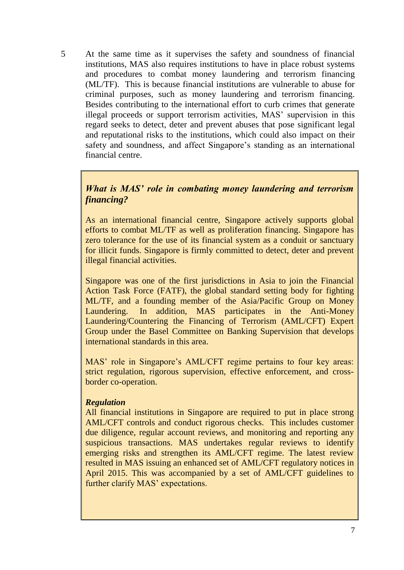5 At the same time as it supervises the safety and soundness of financial institutions, MAS also requires institutions to have in place robust systems and procedures to combat money laundering and terrorism financing (ML/TF). This is because financial institutions are vulnerable to abuse for criminal purposes, such as money laundering and terrorism financing. Besides contributing to the international effort to curb crimes that generate illegal proceeds or support terrorism activities, MAS' supervision in this regard seeks to detect, deter and prevent abuses that pose significant legal and reputational risks to the institutions, which could also impact on their safety and soundness, and affect Singapore's standing as an international financial centre.

#### *What is MAS' role in combating money laundering and terrorism financing?*

As an international financial centre, Singapore actively supports global efforts to combat ML/TF as well as proliferation financing. Singapore has zero tolerance for the use of its financial system as a conduit or sanctuary for illicit funds. Singapore is firmly committed to detect, deter and prevent illegal financial activities.

Singapore was one of the first jurisdictions in Asia to join the Financial Action Task Force (FATF), the global standard setting body for fighting ML/TF, and a founding member of the Asia/Pacific Group on Money Laundering. In addition, MAS participates in the Anti-Money Laundering/Countering the Financing of Terrorism (AML/CFT) Expert Group under the Basel Committee on Banking Supervision that develops international standards in this area.

MAS' role in Singapore's AML/CFT regime pertains to four key areas: strict regulation, rigorous supervision, effective enforcement, and crossborder co-operation.

#### *Regulation*

All financial institutions in Singapore are required to put in place strong AML/CFT controls and conduct rigorous checks. This includes customer due diligence, regular account reviews, and monitoring and reporting any suspicious transactions. MAS undertakes regular reviews to identify emerging risks and strengthen its AML/CFT regime. The latest review resulted in MAS issuing an enhanced set of AML/CFT regulatory notices in April 2015. This was accompanied by a set of AML/CFT guidelines to further clarify MAS' expectations.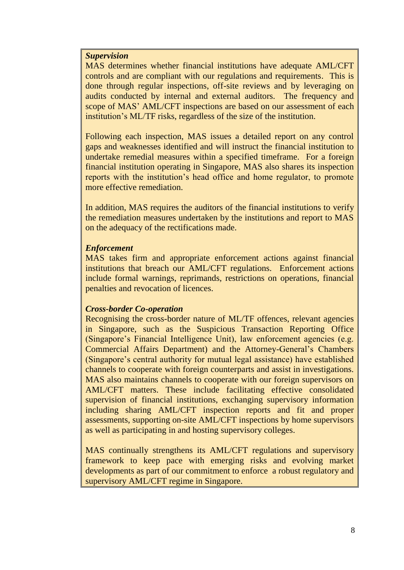#### *Supervision*

MAS determines whether financial institutions have adequate AML/CFT controls and are compliant with our regulations and requirements. This is done through regular inspections, off-site reviews and by leveraging on audits conducted by internal and external auditors. The frequency and scope of MAS' AML/CFT inspections are based on our assessment of each institution's ML/TF risks, regardless of the size of the institution.

Following each inspection, MAS issues a detailed report on any control gaps and weaknesses identified and will instruct the financial institution to undertake remedial measures within a specified timeframe. For a foreign financial institution operating in Singapore, MAS also shares its inspection reports with the institution's head office and home regulator, to promote more effective remediation.

In addition, MAS requires the auditors of the financial institutions to verify the remediation measures undertaken by the institutions and report to MAS on the adequacy of the rectifications made.

#### *Enforcement*

MAS takes firm and appropriate enforcement actions against financial institutions that breach our AML/CFT regulations. Enforcement actions include formal warnings, reprimands, restrictions on operations, financial penalties and revocation of licences.

#### *Cross-border Co-operation*

Recognising the cross-border nature of ML/TF offences, relevant agencies in Singapore, such as the Suspicious Transaction Reporting Office (Singapore's Financial Intelligence Unit), law enforcement agencies (e.g. Commercial Affairs Department) and the Attorney-General's Chambers (Singapore's central authority for mutual legal assistance) have established channels to cooperate with foreign counterparts and assist in investigations. MAS also maintains channels to cooperate with our foreign supervisors on AML/CFT matters. These include facilitating effective consolidated supervision of financial institutions, exchanging supervisory information including sharing AML/CFT inspection reports and fit and proper assessments, supporting on-site AML/CFT inspections by home supervisors as well as participating in and hosting supervisory colleges.

MAS continually strengthens its AML/CFT regulations and supervisory framework to keep pace with emerging risks and evolving market developments as part of our commitment to enforce a robust regulatory and supervisory AML/CFT regime in Singapore.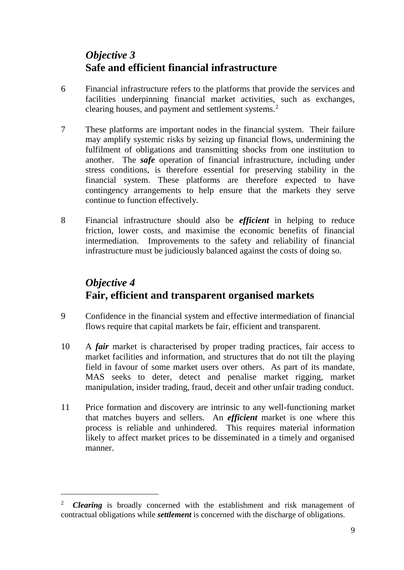## *Objective 3* **Safe and efficient financial infrastructure**

- 6 Financial infrastructure refers to the platforms that provide the services and facilities underpinning financial market activities, such as exchanges, clearing houses, and payment and settlement systems.<sup>2</sup>
- 7 These platforms are important nodes in the financial system. Their failure may amplify systemic risks by seizing up financial flows, undermining the fulfilment of obligations and transmitting shocks from one institution to another. The *safe* operation of financial infrastructure, including under stress conditions, is therefore essential for preserving stability in the financial system. These platforms are therefore expected to have contingency arrangements to help ensure that the markets they serve continue to function effectively.
- 8 Financial infrastructure should also be *efficient* in helping to reduce friction, lower costs, and maximise the economic benefits of financial intermediation. Improvements to the safety and reliability of financial infrastructure must be judiciously balanced against the costs of doing so.

## *Objective 4* **Fair, efficient and transparent organised markets**

- 9 Confidence in the financial system and effective intermediation of financial flows require that capital markets be fair, efficient and transparent.
- 10 A *fair* market is characterised by proper trading practices, fair access to market facilities and information, and structures that do not tilt the playing field in favour of some market users over others. As part of its mandate, MAS seeks to deter, detect and penalise market rigging, market manipulation, insider trading, fraud, deceit and other unfair trading conduct.
- 11 Price formation and discovery are intrinsic to any well-functioning market that matches buyers and sellers. An *efficient* market is one where this process is reliable and unhindered. This requires material information likely to affect market prices to be disseminated in a timely and organised manner.

 $\overline{a}$ 

<sup>&</sup>lt;sup>2</sup> **Clearing** is broadly concerned with the establishment and risk management of contractual obligations while *settlement* is concerned with the discharge of obligations.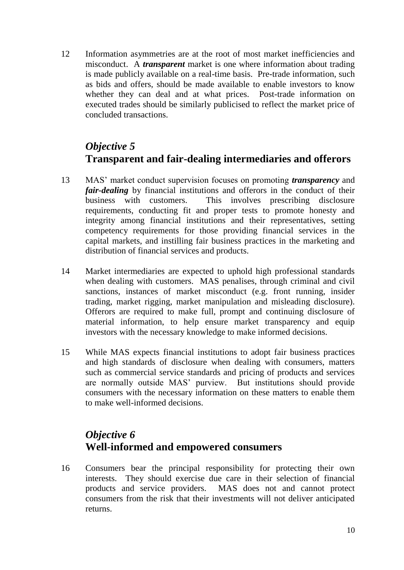12 Information asymmetries are at the root of most market inefficiencies and misconduct. A *transparent* market is one where information about trading is made publicly available on a real-time basis. Pre-trade information, such as bids and offers, should be made available to enable investors to know whether they can deal and at what prices. Post-trade information on executed trades should be similarly publicised to reflect the market price of concluded transactions.

## *Objective 5* **Transparent and fair-dealing intermediaries and offerors**

- 13 MAS' market conduct supervision focuses on promoting *transparency* and *fair-dealing* by financial institutions and offerors in the conduct of their business with customers. This involves prescribing disclosure requirements, conducting fit and proper tests to promote honesty and integrity among financial institutions and their representatives, setting competency requirements for those providing financial services in the capital markets, and instilling fair business practices in the marketing and distribution of financial services and products.
- 14 Market intermediaries are expected to uphold high professional standards when dealing with customers. MAS penalises, through criminal and civil sanctions, instances of market misconduct (e.g. front running, insider trading, market rigging, market manipulation and misleading disclosure). Offerors are required to make full, prompt and continuing disclosure of material information, to help ensure market transparency and equip investors with the necessary knowledge to make informed decisions.
- 15 While MAS expects financial institutions to adopt fair business practices and high standards of disclosure when dealing with consumers, matters such as commercial service standards and pricing of products and services are normally outside MAS' purview. But institutions should provide consumers with the necessary information on these matters to enable them to make well-informed decisions.

## *Objective 6* **Well-informed and empowered consumers**

16 Consumers bear the principal responsibility for protecting their own interests. They should exercise due care in their selection of financial products and service providers. MAS does not and cannot protect consumers from the risk that their investments will not deliver anticipated returns.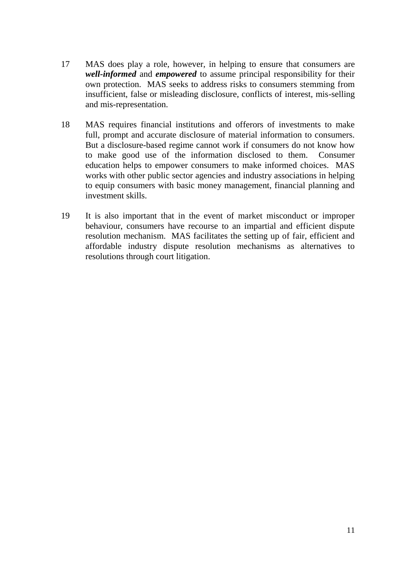- 17 MAS does play a role, however, in helping to ensure that consumers are *well-informed* and *empowered* to assume principal responsibility for their own protection. MAS seeks to address risks to consumers stemming from insufficient, false or misleading disclosure, conflicts of interest, mis-selling and mis-representation.
- 18 MAS requires financial institutions and offerors of investments to make full, prompt and accurate disclosure of material information to consumers. But a disclosure-based regime cannot work if consumers do not know how to make good use of the information disclosed to them. Consumer education helps to empower consumers to make informed choices. MAS works with other public sector agencies and industry associations in helping to equip consumers with basic money management, financial planning and investment skills.
- 19 It is also important that in the event of market misconduct or improper behaviour, consumers have recourse to an impartial and efficient dispute resolution mechanism. MAS facilitates the setting up of fair, efficient and affordable industry dispute resolution mechanisms as alternatives to resolutions through court litigation.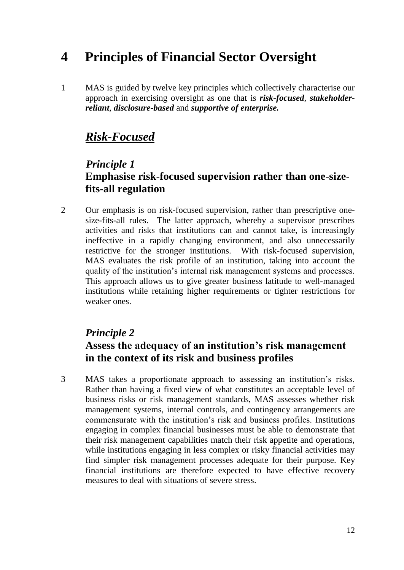## **4 Principles of Financial Sector Oversight**

1 MAS is guided by twelve key principles which collectively characterise our approach in exercising oversight as one that is *risk-focused*, *stakeholderreliant*, *disclosure-based* and *supportive of enterprise.*

## *Risk-Focused*

#### *Principle 1* **Emphasise risk-focused supervision rather than one-sizefits-all regulation**

2 Our emphasis is on risk-focused supervision, rather than prescriptive onesize-fits-all rules. The latter approach, whereby a supervisor prescribes activities and risks that institutions can and cannot take, is increasingly ineffective in a rapidly changing environment, and also unnecessarily restrictive for the stronger institutions. With risk-focused supervision, MAS evaluates the risk profile of an institution, taking into account the quality of the institution's internal risk management systems and processes. This approach allows us to give greater business latitude to well-managed institutions while retaining higher requirements or tighter restrictions for weaker ones.

#### *Principle 2*

#### **Assess the adequacy of an institution's risk management in the context of its risk and business profiles**

3 MAS takes a proportionate approach to assessing an institution's risks. Rather than having a fixed view of what constitutes an acceptable level of business risks or risk management standards, MAS assesses whether risk management systems, internal controls, and contingency arrangements are commensurate with the institution's risk and business profiles. Institutions engaging in complex financial businesses must be able to demonstrate that their risk management capabilities match their risk appetite and operations, while institutions engaging in less complex or risky financial activities may find simpler risk management processes adequate for their purpose. Key financial institutions are therefore expected to have effective recovery measures to deal with situations of severe stress.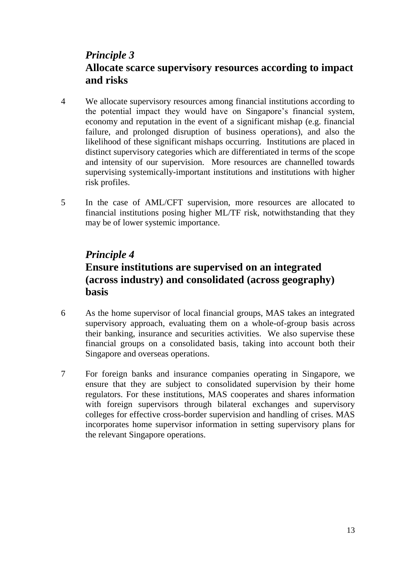### *Principle 3* **Allocate scarce supervisory resources according to impact and risks**

- 4 We allocate supervisory resources among financial institutions according to the potential impact they would have on Singapore's financial system, economy and reputation in the event of a significant mishap (e.g. financial failure, and prolonged disruption of business operations), and also the likelihood of these significant mishaps occurring. Institutions are placed in distinct supervisory categories which are differentiated in terms of the scope and intensity of our supervision. More resources are channelled towards supervising systemically-important institutions and institutions with higher risk profiles.
- 5 In the case of AML/CFT supervision, more resources are allocated to financial institutions posing higher ML/TF risk, notwithstanding that they may be of lower systemic importance.

### *Principle 4*

### **Ensure institutions are supervised on an integrated (across industry) and consolidated (across geography) basis**

- 6 As the home supervisor of local financial groups, MAS takes an integrated supervisory approach, evaluating them on a whole-of-group basis across their banking, insurance and securities activities. We also supervise these financial groups on a consolidated basis, taking into account both their Singapore and overseas operations.
- 7 For foreign banks and insurance companies operating in Singapore, we ensure that they are subject to consolidated supervision by their home regulators. For these institutions, MAS cooperates and shares information with foreign supervisors through bilateral exchanges and supervisory colleges for effective cross-border supervision and handling of crises. MAS incorporates home supervisor information in setting supervisory plans for the relevant Singapore operations.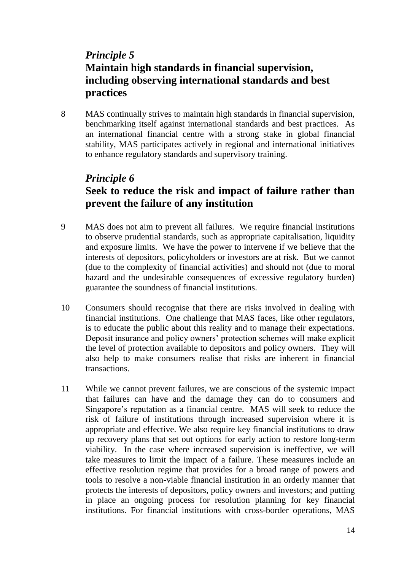### *Principle 5* **Maintain high standards in financial supervision, including observing international standards and best practices**

8 MAS continually strives to maintain high standards in financial supervision, benchmarking itself against international standards and best practices. As an international financial centre with a strong stake in global financial stability, MAS participates actively in regional and international initiatives to enhance regulatory standards and supervisory training.

## *Principle 6*  **Seek to reduce the risk and impact of failure rather than prevent the failure of any institution**

- 9 MAS does not aim to prevent all failures. We require financial institutions to observe prudential standards, such as appropriate capitalisation, liquidity and exposure limits. We have the power to intervene if we believe that the interests of depositors, policyholders or investors are at risk. But we cannot (due to the complexity of financial activities) and should not (due to moral hazard and the undesirable consequences of excessive regulatory burden) guarantee the soundness of financial institutions.
- 10 Consumers should recognise that there are risks involved in dealing with financial institutions. One challenge that MAS faces, like other regulators, is to educate the public about this reality and to manage their expectations. Deposit insurance and policy owners' protection schemes will make explicit the level of protection available to depositors and policy owners. They will also help to make consumers realise that risks are inherent in financial transactions.
- 11 While we cannot prevent failures, we are conscious of the systemic impact that failures can have and the damage they can do to consumers and Singapore's reputation as a financial centre. MAS will seek to reduce the risk of failure of institutions through increased supervision where it is appropriate and effective. We also require key financial institutions to draw up recovery plans that set out options for early action to restore long-term viability. In the case where increased supervision is ineffective, we will take measures to limit the impact of a failure. These measures include an effective resolution regime that provides for a broad range of powers and tools to resolve a non-viable financial institution in an orderly manner that protects the interests of depositors, policy owners and investors; and putting in place an ongoing process for resolution planning for key financial institutions. For financial institutions with cross-border operations, MAS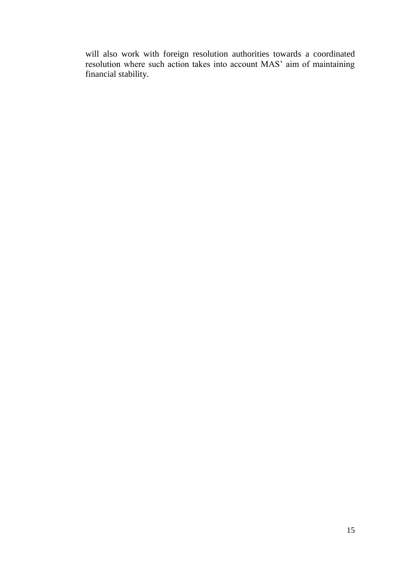will also work with foreign resolution authorities towards a coordinated resolution where such action takes into account MAS' aim of maintaining financial stability.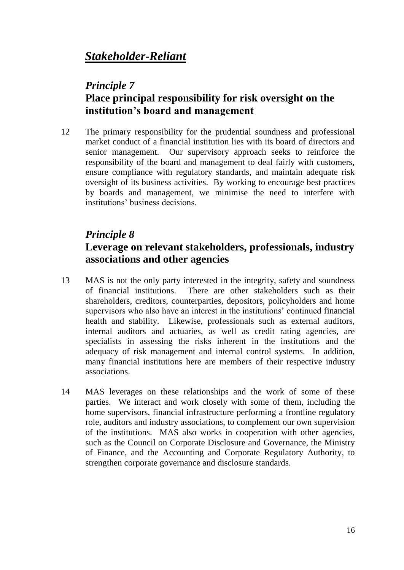## *Stakeholder-Reliant*

### *Principle 7* **Place principal responsibility for risk oversight on the institution's board and management**

12 The primary responsibility for the prudential soundness and professional market conduct of a financial institution lies with its board of directors and senior management. Our supervisory approach seeks to reinforce the responsibility of the board and management to deal fairly with customers, ensure compliance with regulatory standards, and maintain adequate risk oversight of its business activities. By working to encourage best practices by boards and management, we minimise the need to interfere with institutions' business decisions.

## *Principle 8*

#### **Leverage on relevant stakeholders, professionals, industry associations and other agencies**

- 13 MAS is not the only party interested in the integrity, safety and soundness of financial institutions. There are other stakeholders such as their shareholders, creditors, counterparties, depositors, policyholders and home supervisors who also have an interest in the institutions' continued financial health and stability. Likewise, professionals such as external auditors, internal auditors and actuaries, as well as credit rating agencies, are specialists in assessing the risks inherent in the institutions and the adequacy of risk management and internal control systems. In addition, many financial institutions here are members of their respective industry associations.
- 14 MAS leverages on these relationships and the work of some of these parties. We interact and work closely with some of them, including the home supervisors, financial infrastructure performing a frontline regulatory role, auditors and industry associations, to complement our own supervision of the institutions. MAS also works in cooperation with other agencies, such as the Council on Corporate Disclosure and Governance, the Ministry of Finance, and the Accounting and Corporate Regulatory Authority, to strengthen corporate governance and disclosure standards.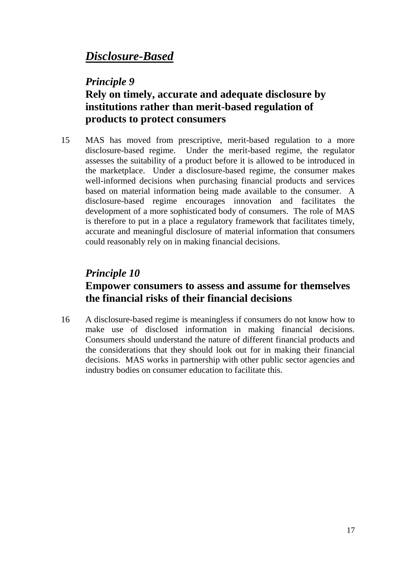## *Disclosure-Based*

#### *Principle 9*

### **Rely on timely, accurate and adequate disclosure by institutions rather than merit-based regulation of products to protect consumers**

15 MAS has moved from prescriptive, merit-based regulation to a more disclosure-based regime. Under the merit-based regime, the regulator assesses the suitability of a product before it is allowed to be introduced in the marketplace. Under a disclosure-based regime, the consumer makes well-informed decisions when purchasing financial products and services based on material information being made available to the consumer. A disclosure-based regime encourages innovation and facilitates the development of a more sophisticated body of consumers. The role of MAS is therefore to put in a place a regulatory framework that facilitates timely, accurate and meaningful disclosure of material information that consumers could reasonably rely on in making financial decisions.

## *Principle 10* **Empower consumers to assess and assume for themselves the financial risks of their financial decisions**

16 A disclosure-based regime is meaningless if consumers do not know how to make use of disclosed information in making financial decisions. Consumers should understand the nature of different financial products and the considerations that they should look out for in making their financial decisions. MAS works in partnership with other public sector agencies and industry bodies on consumer education to facilitate this.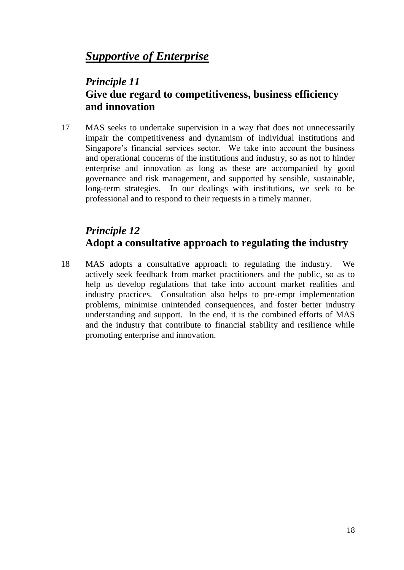## *Supportive of Enterprise*

### *Principle 11* **Give due regard to competitiveness, business efficiency and innovation**

17 MAS seeks to undertake supervision in a way that does not unnecessarily impair the competitiveness and dynamism of individual institutions and Singapore's financial services sector. We take into account the business and operational concerns of the institutions and industry, so as not to hinder enterprise and innovation as long as these are accompanied by good governance and risk management, and supported by sensible, sustainable, long-term strategies. In our dealings with institutions, we seek to be professional and to respond to their requests in a timely manner.

## *Principle 12* **Adopt a consultative approach to regulating the industry**

18 MAS adopts a consultative approach to regulating the industry. We actively seek feedback from market practitioners and the public, so as to help us develop regulations that take into account market realities and industry practices. Consultation also helps to pre-empt implementation problems, minimise unintended consequences, and foster better industry understanding and support. In the end, it is the combined efforts of MAS and the industry that contribute to financial stability and resilience while promoting enterprise and innovation.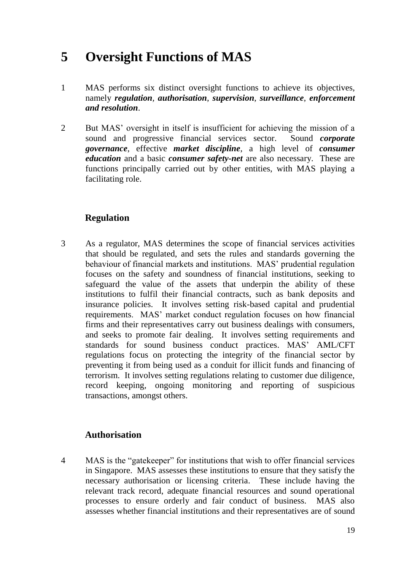## **5 Oversight Functions of MAS**

- 1 MAS performs six distinct oversight functions to achieve its objectives, namely *regulation, authorisation*, *supervision*, *surveillance*, *enforcement and resolution*.
- 2 But MAS' oversight in itself is insufficient for achieving the mission of a sound and progressive financial services sector. Sound *corporate governance*, effective *market discipline*, a high level of *consumer education* and a basic *consumer safety-net* are also necessary. These are functions principally carried out by other entities, with MAS playing a facilitating role.

#### **Regulation**

3 As a regulator, MAS determines the scope of financial services activities that should be regulated, and sets the rules and standards governing the behaviour of financial markets and institutions. MAS' prudential regulation focuses on the safety and soundness of financial institutions, seeking to safeguard the value of the assets that underpin the ability of these institutions to fulfil their financial contracts, such as bank deposits and insurance policies. It involves setting risk-based capital and prudential requirements. MAS' market conduct regulation focuses on how financial firms and their representatives carry out business dealings with consumers, and seeks to promote fair dealing. It involves setting requirements and standards for sound business conduct practices. MAS' AML/CFT regulations focus on protecting the integrity of the financial sector by preventing it from being used as a conduit for illicit funds and financing of terrorism. It involves setting regulations relating to customer due diligence, record keeping, ongoing monitoring and reporting of suspicious transactions, amongst others.

#### **Authorisation**

4 MAS is the "gatekeeper" for institutions that wish to offer financial services in Singapore. MAS assesses these institutions to ensure that they satisfy the necessary authorisation or licensing criteria. These include having the relevant track record, adequate financial resources and sound operational processes to ensure orderly and fair conduct of business. MAS also assesses whether financial institutions and their representatives are of sound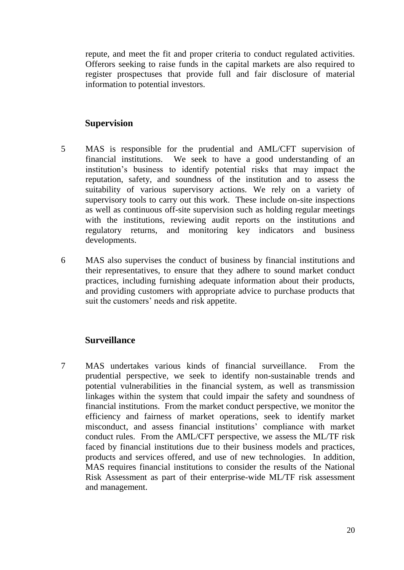repute, and meet the fit and proper criteria to conduct regulated activities. Offerors seeking to raise funds in the capital markets are also required to register prospectuses that provide full and fair disclosure of material information to potential investors.

#### **Supervision**

- 5 MAS is responsible for the prudential and AML/CFT supervision of financial institutions. We seek to have a good understanding of an institution's business to identify potential risks that may impact the reputation, safety, and soundness of the institution and to assess the suitability of various supervisory actions. We rely on a variety of supervisory tools to carry out this work. These include on-site inspections as well as continuous off-site supervision such as holding regular meetings with the institutions, reviewing audit reports on the institutions and regulatory returns, and monitoring key indicators and business developments.
- 6 MAS also supervises the conduct of business by financial institutions and their representatives, to ensure that they adhere to sound market conduct practices, including furnishing adequate information about their products, and providing customers with appropriate advice to purchase products that suit the customers' needs and risk appetite.

#### **Surveillance**

7 MAS undertakes various kinds of financial surveillance. From the prudential perspective, we seek to identify non-sustainable trends and potential vulnerabilities in the financial system, as well as transmission linkages within the system that could impair the safety and soundness of financial institutions. From the market conduct perspective, we monitor the efficiency and fairness of market operations, seek to identify market misconduct, and assess financial institutions' compliance with market conduct rules. From the AML/CFT perspective, we assess the ML/TF risk faced by financial institutions due to their business models and practices, products and services offered, and use of new technologies. In addition, MAS requires financial institutions to consider the results of the National Risk Assessment as part of their enterprise-wide ML/TF risk assessment and management.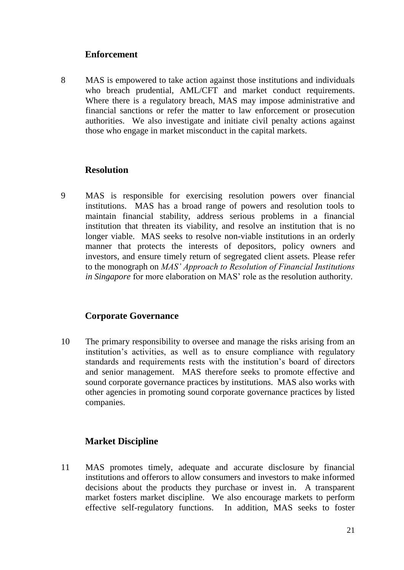#### **Enforcement**

8 MAS is empowered to take action against those institutions and individuals who breach prudential, AML/CFT and market conduct requirements. Where there is a regulatory breach, MAS may impose administrative and financial sanctions or refer the matter to law enforcement or prosecution authorities. We also investigate and initiate civil penalty actions against those who engage in market misconduct in the capital markets.

#### **Resolution**

9 MAS is responsible for exercising resolution powers over financial institutions. MAS has a broad range of powers and resolution tools to maintain financial stability, address serious problems in a financial institution that threaten its viability, and resolve an institution that is no longer viable. MAS seeks to resolve non-viable institutions in an orderly manner that protects the interests of depositors, policy owners and investors, and ensure timely return of segregated client assets. Please refer to the monograph on *MAS' Approach to Resolution of Financial Institutions in Singapore* for more elaboration on MAS' role as the resolution authority.

#### **Corporate Governance**

10 The primary responsibility to oversee and manage the risks arising from an institution's activities, as well as to ensure compliance with regulatory standards and requirements rests with the institution's board of directors and senior management. MAS therefore seeks to promote effective and sound corporate governance practices by institutions. MAS also works with other agencies in promoting sound corporate governance practices by listed companies.

#### **Market Discipline**

11 MAS promotes timely, adequate and accurate disclosure by financial institutions and offerors to allow consumers and investors to make informed decisions about the products they purchase or invest in. A transparent market fosters market discipline. We also encourage markets to perform effective self-regulatory functions. In addition, MAS seeks to foster